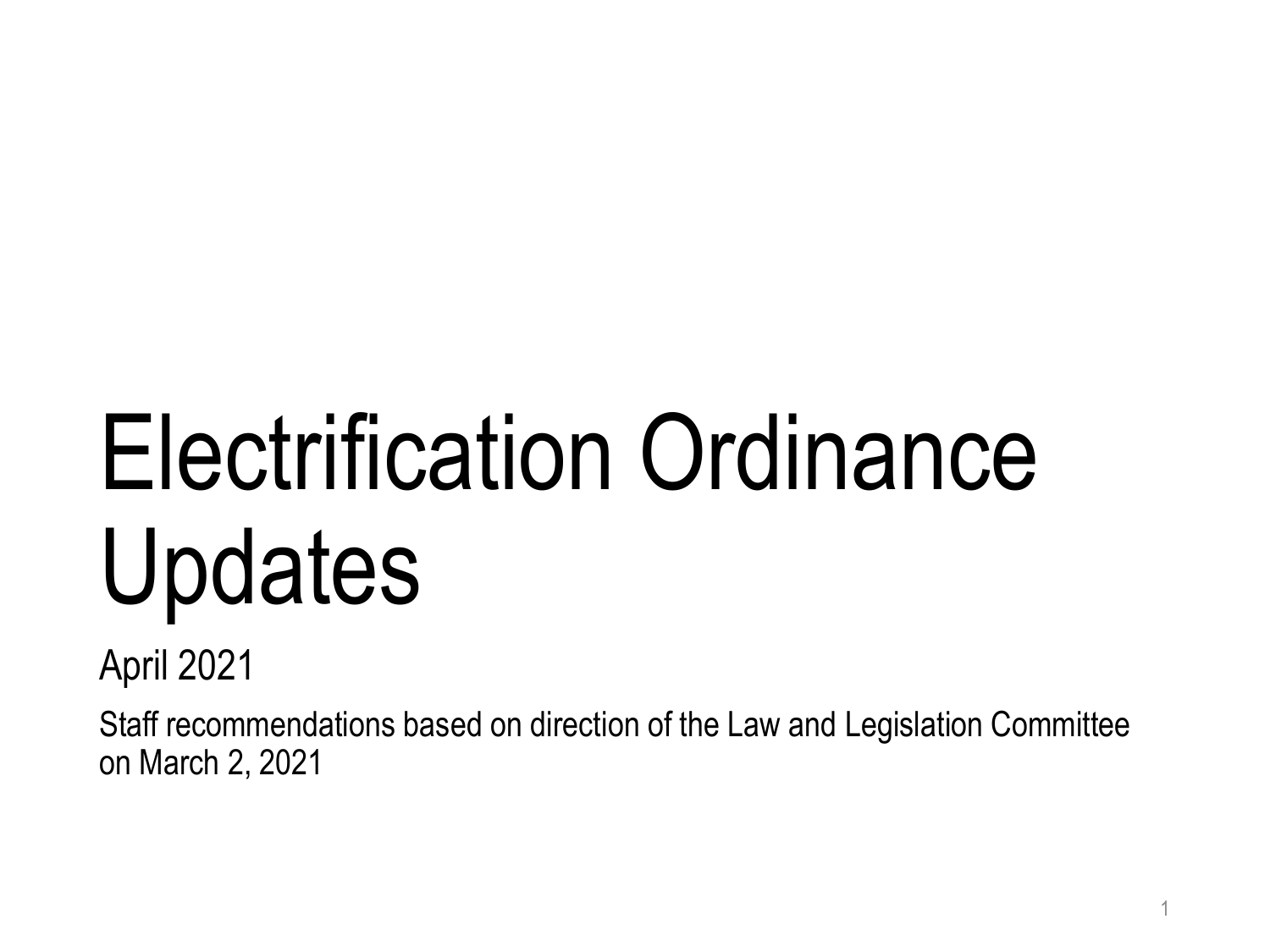# Electrification Ordinance Updates

April 2021

Staff recommendations based on direction of the Law and Legislation Committee on March 2, 2021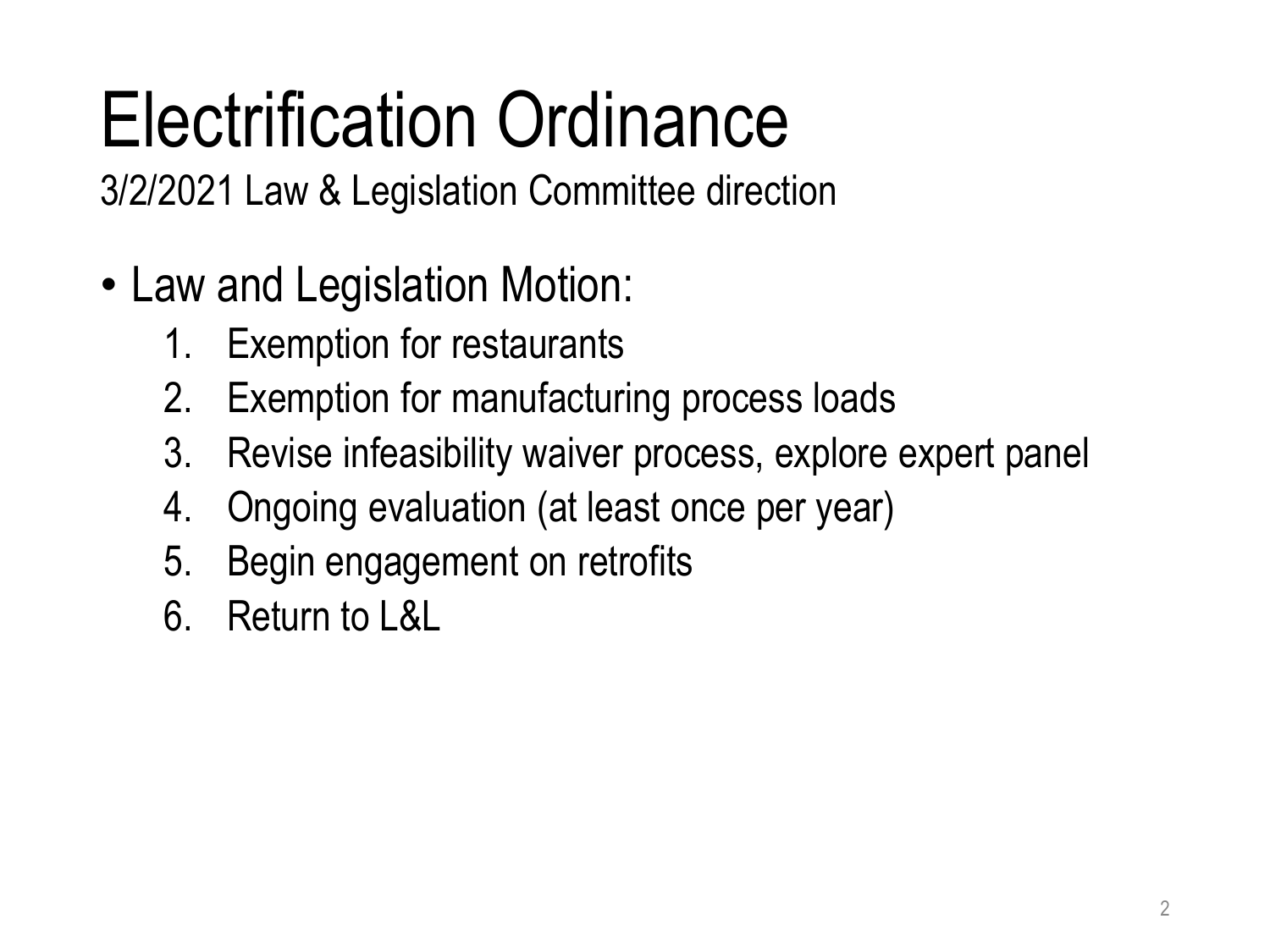# Electrification Ordinance

3/2/2021 Law & Legislation Committee direction

- Law and Legislation Motion:
	- 1. Exemption for restaurants
	- 2. Exemption for manufacturing process loads
	- 3. Revise infeasibility waiver process, explore expert panel
	- 4. Ongoing evaluation (at least once per year)
	- 5. Begin engagement on retrofits
	- 6. Return to L&L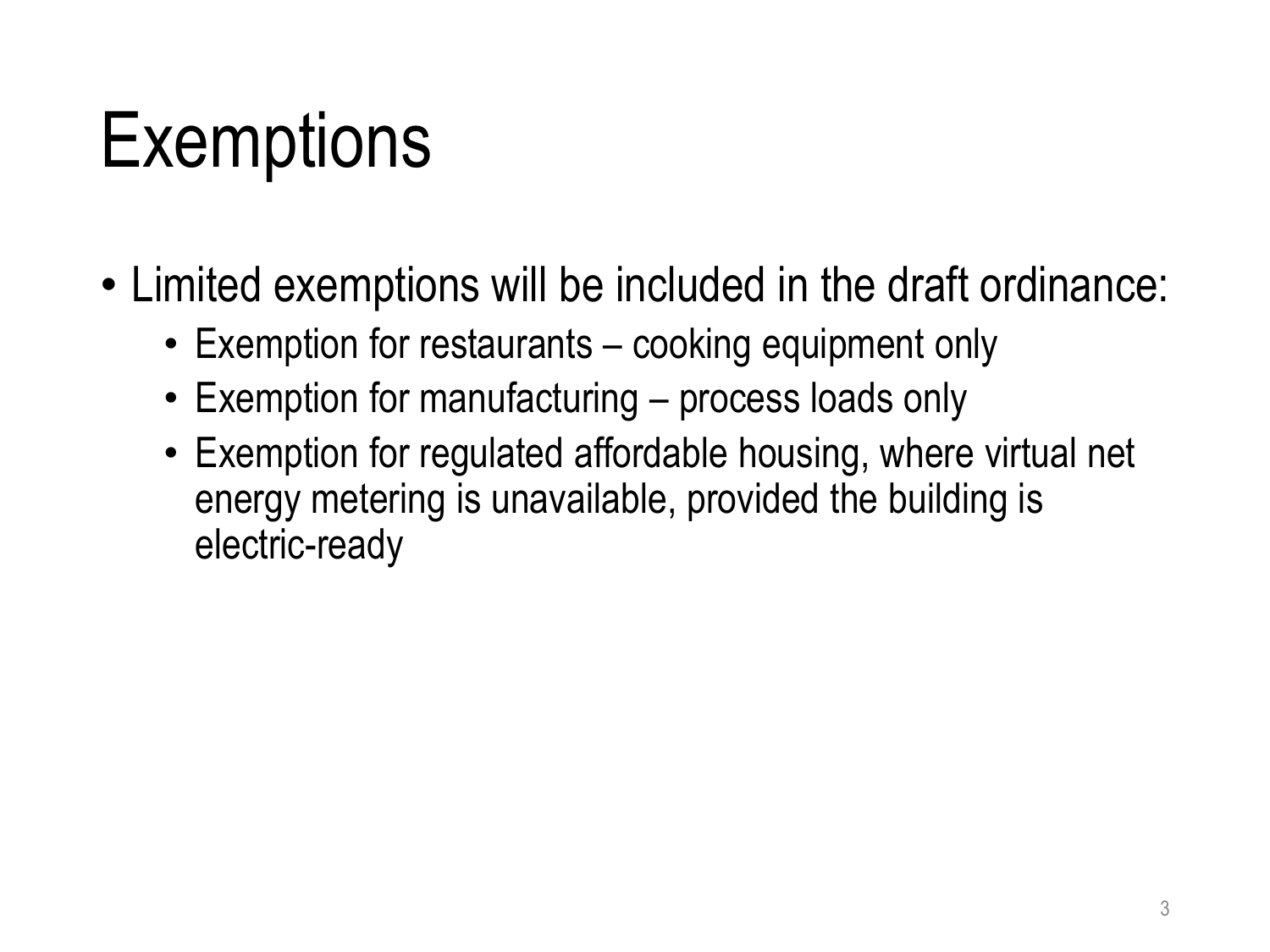#### **Exemptions**

- Limited exemptions will be included in the draft ordinance:
	- Exemption for restaurants cooking equipment only
	- Exemption for manufacturing process loads only
	- Exemption for regulated affordable housing, where virtual net energy metering is unavailable, provided the building is electric-ready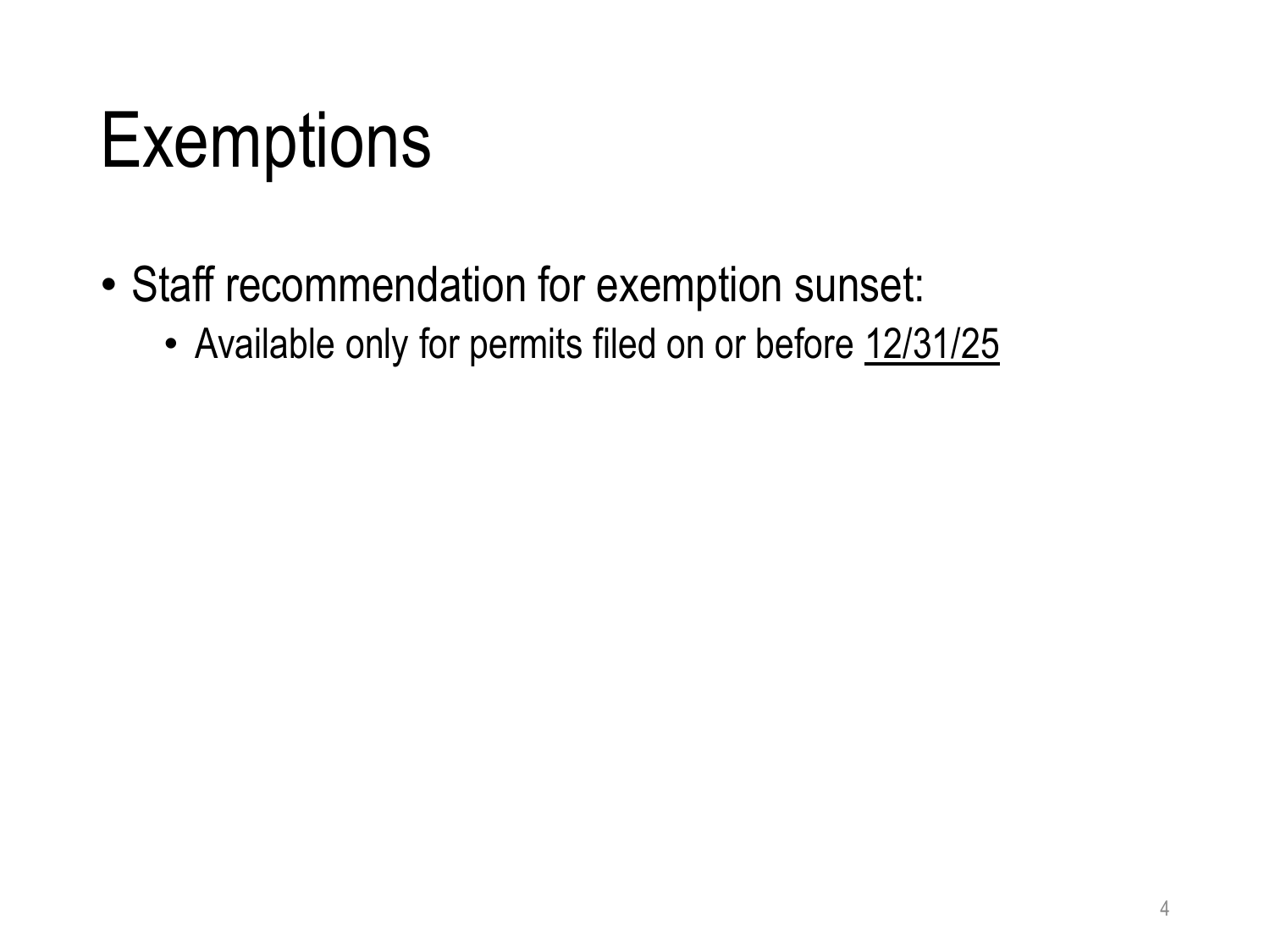#### **Exemptions**

- Staff recommendation for exemption sunset:
	- Available only for permits filed on or before 12/31/25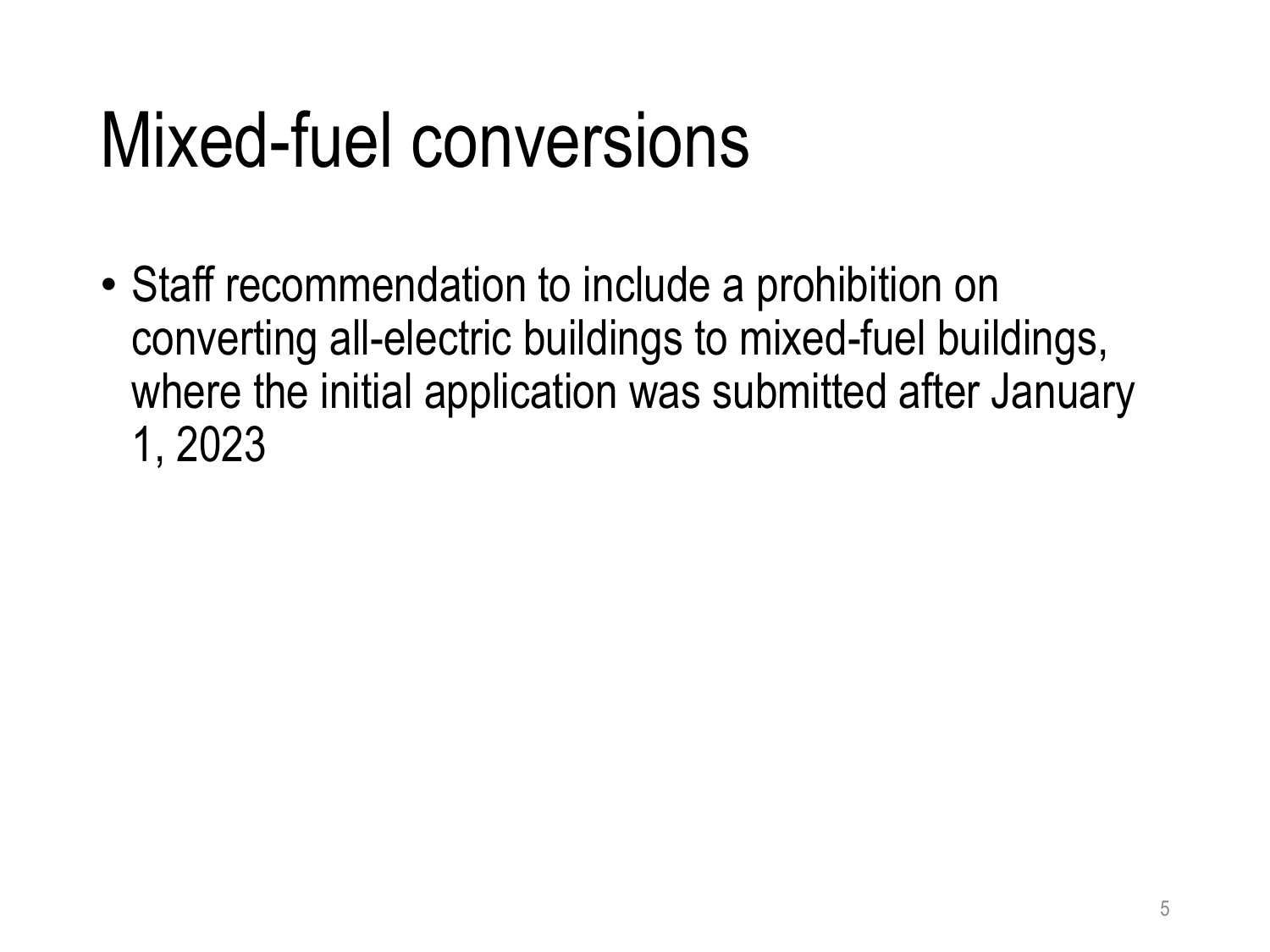#### Mixed-fuel conversions

• Staff recommendation to include a prohibition on converting all-electric buildings to mixed-fuel buildings, where the initial application was submitted after January 1, 2023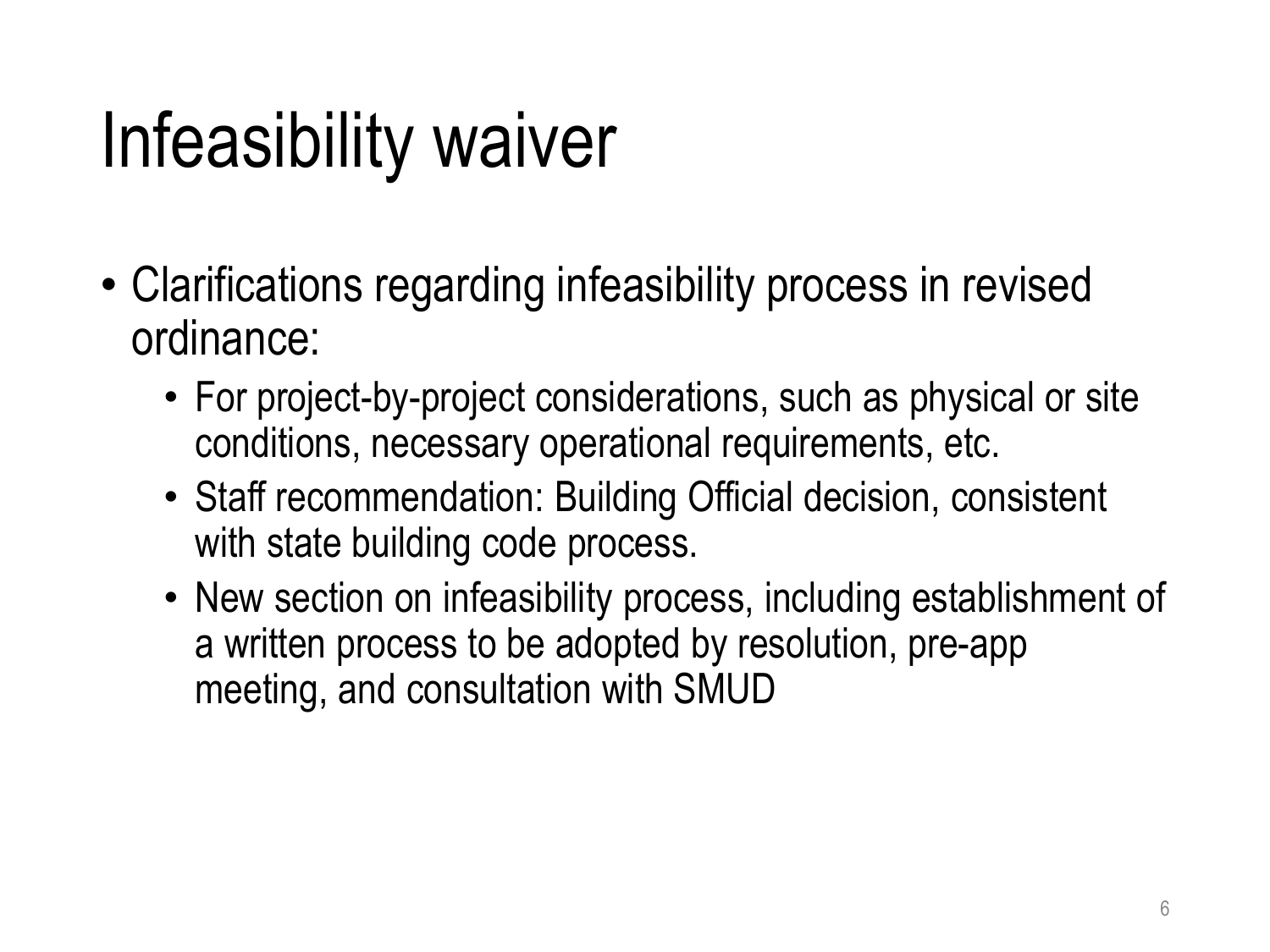### Infeasibility waiver

- Clarifications regarding infeasibility process in revised ordinance:
	- For project-by-project considerations, such as physical or site conditions, necessary operational requirements, etc.
	- Staff recommendation: Building Official decision, consistent with state building code process.
	- New section on infeasibility process, including establishment of a written process to be adopted by resolution, pre-app meeting, and consultation with SMUD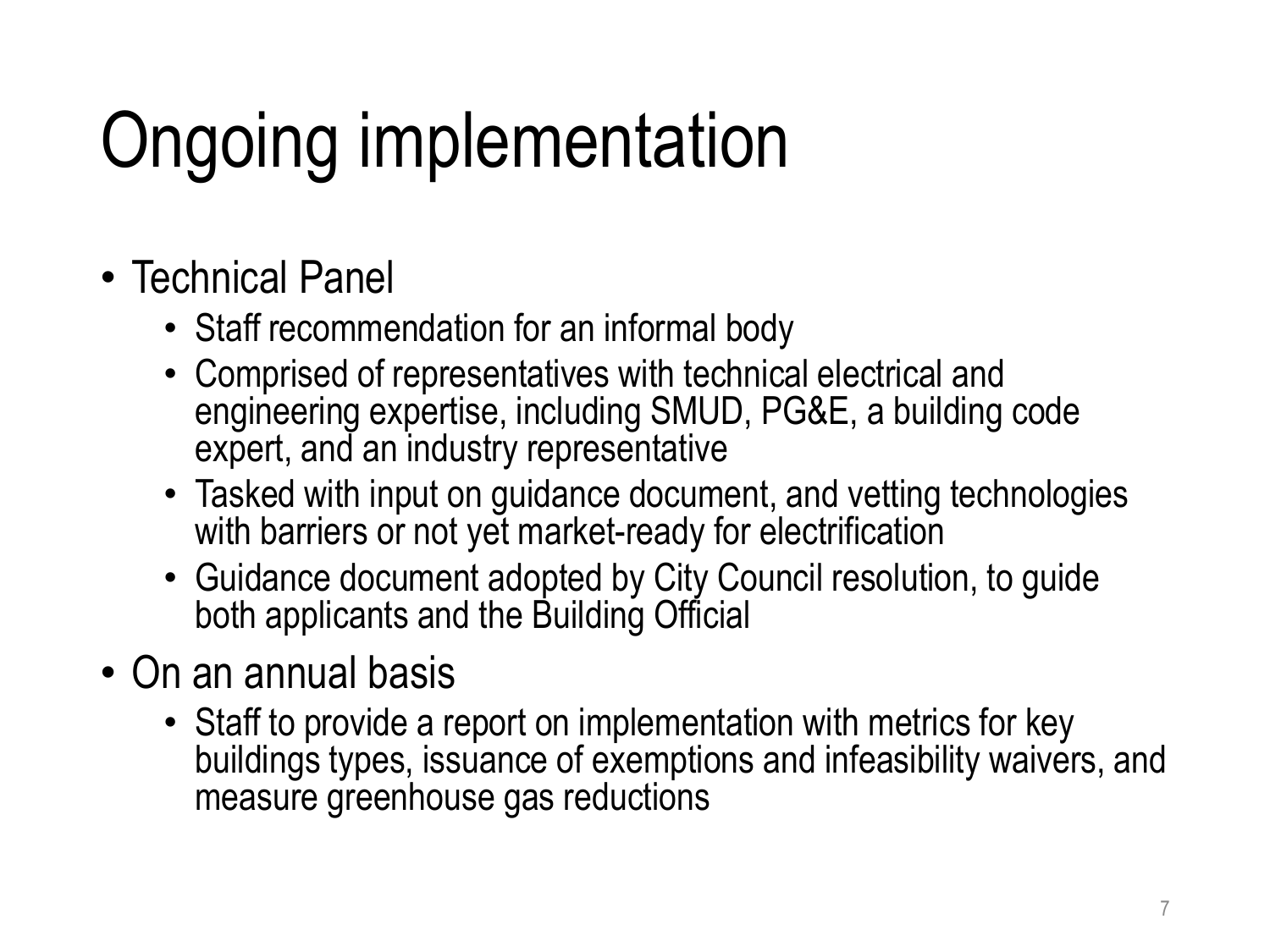# Ongoing implementation

- Technical Panel
	- Staff recommendation for an informal body
	- Comprised of representatives with technical electrical and engineering expertise, including SMUD, PG&E, a building code expert, and an industry representative
	- Tasked with input on guidance document, and vetting technologies with barriers or not yet market-ready for electrification
	- Guidance document adopted by City Council resolution, to guide both applicants and the Building Official
- On an annual basis
	- Staff to provide a report on implementation with metrics for key buildings types, issuance of exemptions and infeasibility waivers, and measure greenhouse gas reductions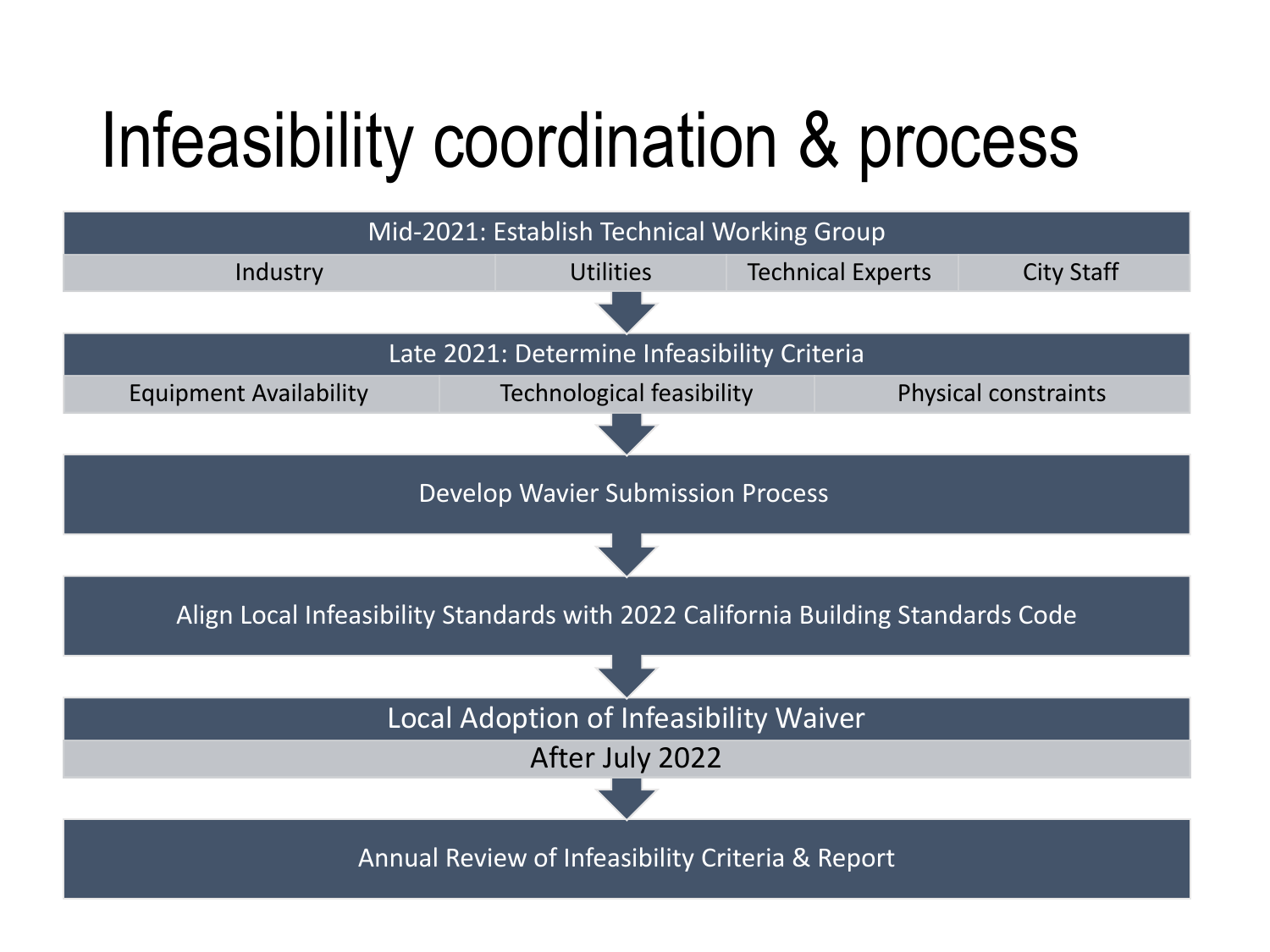#### Infeasibility coordination & process

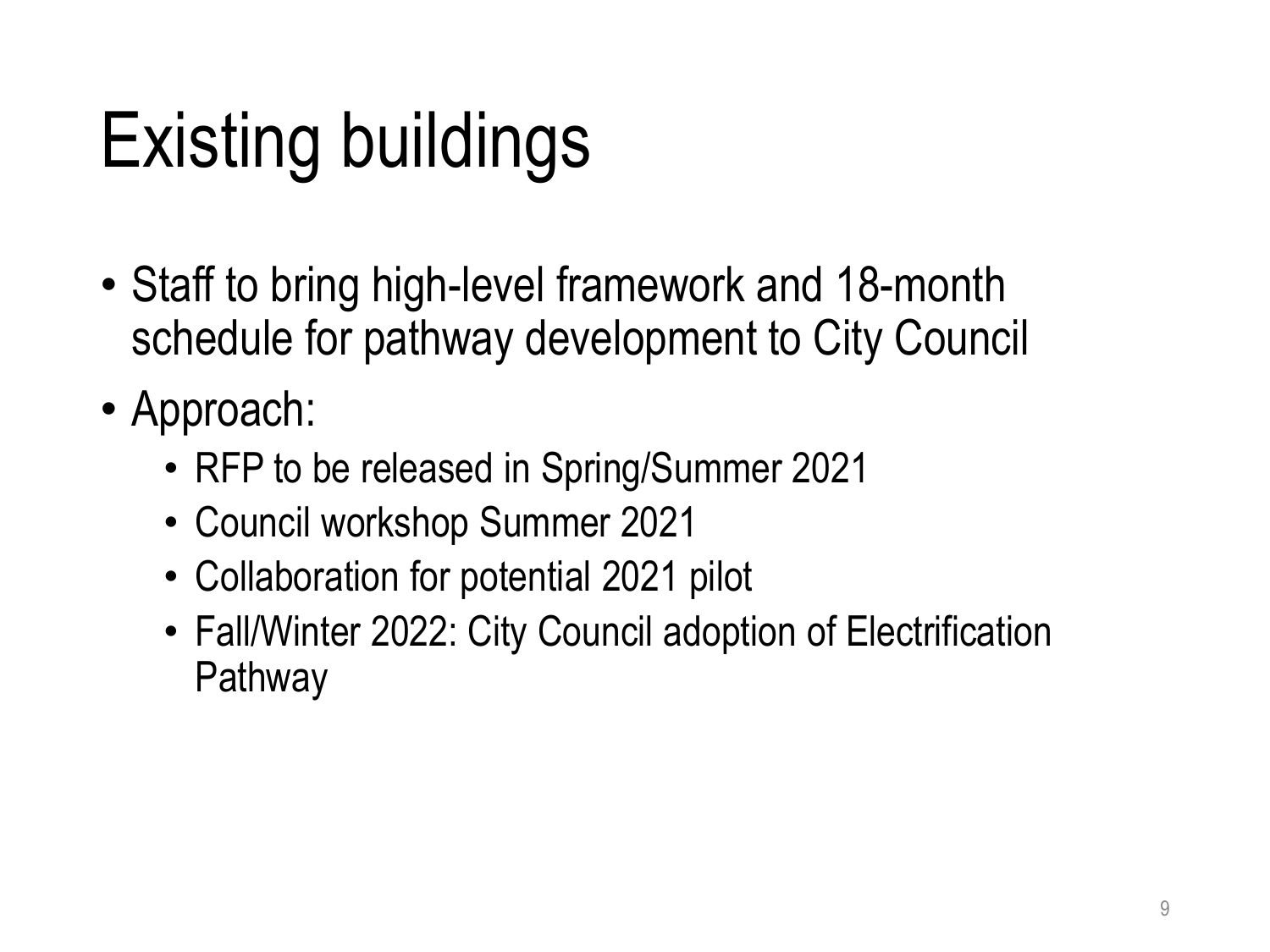## Existing buildings

- Staff to bring high-level framework and 18-month schedule for pathway development to City Council
- Approach:
	- RFP to be released in Spring/Summer 2021
	- Council workshop Summer 2021
	- Collaboration for potential 2021 pilot
	- Fall/Winter 2022: City Council adoption of Electrification **Pathway**